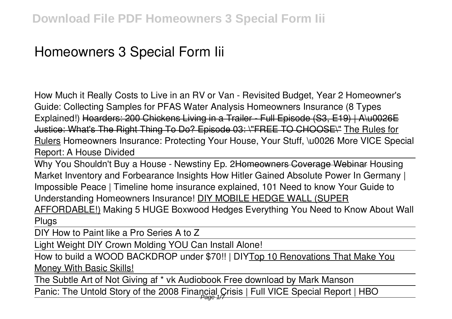# **Homeowners 3 Special Form Iii**

How Much it Really Costs to Live in an RV or Van - Revisited Budget, Year 2 Homeowner's Guide: Collecting Samples for PFAS Water Analysis Homeowners Insurance (8 Types Explained!) Hoarders: 200 Chickens Living in a Trailer Full Episode (S3, E19) | A\u0026E Justice: What's The Right Thing To Do? Episode 03: \"FREE TO CHOOSE\" The Rules for Rulers Homeowners Insurance: Protecting Your House, Your Stuff, \u0026 More *VICE Special Report: A House Divided*

Why You Shouldn't Buy a House - Newstiny Ep. 2Homeowners Coverage Webinar *Housing Market Inventory and Forbearance Insights* **How Hitler Gained Absolute Power In Germany | Impossible Peace | Timeline home insurance explained, 101 Need to know Your Guide to Understanding Homeowners Insurance!** DIY MOBILE HEDGE WALL (SUPER AFFORDABLE!) **Making 5 HUGE Boxwood Hedges Everything You Need to Know About Wall Plugs**

DIY How to Paint like a Pro Series A to Z

Light Weight DIY Crown Molding YOU Can Install Alone!

How to build a WOOD BACKDROP under \$70!! | DIYTop 10 Renovations That Make You Money With Basic Skills!

The Subtle Art of Not Giving af \* vk Audiobook Free download by Mark Manson

Panic: The Untold Story of the 2008 Financial Crisis | Full VICE Special Report | HBO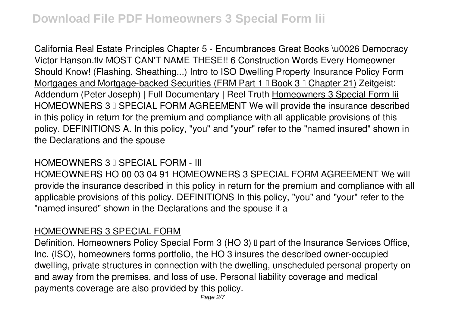California Real Estate Principles Chapter 5 - Encumbrances Great Books \u0026 Democracy Victor Hanson.flv **MOST CAN'T NAME THESE!! 6 Construction Words Every Homeowner Should Know! (Flashing, Sheathing...) Intro to ISO Dwelling Property Insurance Policy Form** Mortgages and Mortgage-backed Securities (FRM Part 1 **E Book 3 E Chapter 21**) Zeitgeist: Addendum (Peter Joseph) | Full Documentary | Reel Truth Homeowners 3 Special Form lii HOMEOWNERS 3 I SPECIAL FORM AGREEMENT We will provide the insurance described in this policy in return for the premium and compliance with all applicable provisions of this policy. DEFINITIONS A. In this policy, "you" and "your" refer to the "named insured" shown in the Declarations and the spouse

## HOMEOWNERS 3 I SPECIAL FORM - III

HOMEOWNERS HO 00 03 04 91 HOMEOWNERS 3 SPECIAL FORM AGREEMENT We will provide the insurance described in this policy in return for the premium and compliance with all applicable provisions of this policy. DEFINITIONS In this policy, "you" and "your" refer to the "named insured" shown in the Declarations and the spouse if a

#### HOMEOWNERS 3 SPECIAL FORM

Definition. Homeowners Policy Special Form 3 (HO 3) I part of the Insurance Services Office, Inc. (ISO), homeowners forms portfolio, the HO 3 insures the described owner-occupied dwelling, private structures in connection with the dwelling, unscheduled personal property on and away from the premises, and loss of use. Personal liability coverage and medical payments coverage are also provided by this policy.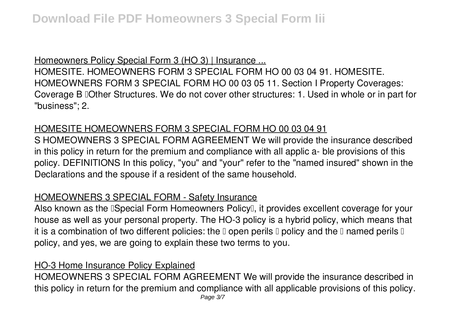## Homeowners Policy Special Form 3 (HO 3) | Insurance ...

HOMESITE. HOMEOWNERS FORM 3 SPECIAL FORM HO 00 03 04 91. HOMESITE. HOMEOWNERS FORM 3 SPECIAL FORM HO 00 03 05 11. Section I Property Coverages: Coverage B DOther Structures. We do not cover other structures: 1. Used in whole or in part for "business"; 2.

# HOMESITE HOMEOWNERS FORM 3 SPECIAL FORM HO 00 03 04 91

S HOMEOWNERS 3 SPECIAL FORM AGREEMENT We will provide the insurance described in this policy in return for the premium and compliance with all applic a- ble provisions of this policy. DEFINITIONS In this policy, "you" and "your" refer to the "named insured" shown in the Declarations and the spouse if a resident of the same household.

# HOMEOWNERS 3 SPECIAL FORM - Safety Insurance

Also known as the **ISpecial Form Homeowners Policy**<sup>[]</sup>, it provides excellent coverage for your house as well as your personal property. The HO-3 policy is a hybrid policy, which means that it is a combination of two different policies: the  $\mathbb I$  open perils  $\mathbb I$  policy and the  $\mathbb I$  named perils  $\mathbb I$ policy, and yes, we are going to explain these two terms to you.

# HO-3 Home Insurance Policy Explained

HOMEOWNERS 3 SPECIAL FORM AGREEMENT We will provide the insurance described in this policy in return for the premium and compliance with all applicable provisions of this policy.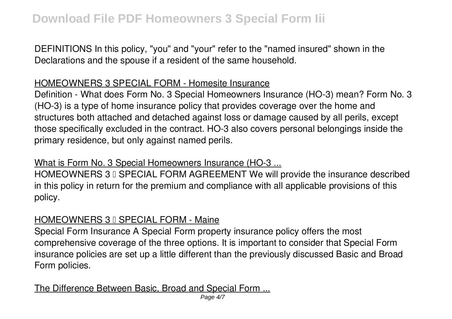DEFINITIONS In this policy, "you" and "your" refer to the "named insured" shown in the Declarations and the spouse if a resident of the same household.

## HOMEOWNERS 3 SPECIAL FORM - Homesite Insurance

Definition - What does Form No. 3 Special Homeowners Insurance (HO-3) mean? Form No. 3 (HO-3) is a type of home insurance policy that provides coverage over the home and structures both attached and detached against loss or damage caused by all perils, except those specifically excluded in the contract. HO-3 also covers personal belongings inside the primary residence, but only against named perils.

## What is Form No. 3 Special Homeowners Insurance (HO-3 ...

HOMEOWNERS 3 I SPECIAL FORM AGREEMENT We will provide the insurance described in this policy in return for the premium and compliance with all applicable provisions of this policy.

## HOMEOWNERS 3 I SPECIAL FORM - Maine

Special Form Insurance A Special Form property insurance policy offers the most comprehensive coverage of the three options. It is important to consider that Special Form insurance policies are set up a little different than the previously discussed Basic and Broad Form policies.

# The Difference Between Basic, Broad and Special Form ...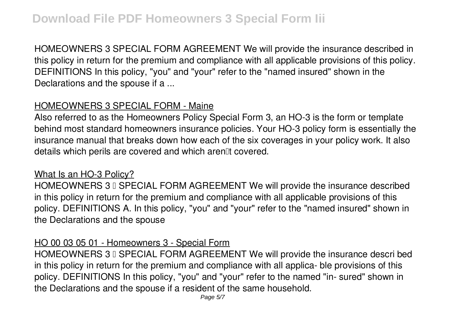HOMEOWNERS 3 SPECIAL FORM AGREEMENT We will provide the insurance described in this policy in return for the premium and compliance with all applicable provisions of this policy. DEFINITIONS In this policy, "you" and "your" refer to the "named insured" shown in the Declarations and the spouse if a ...

# HOMEOWNERS 3 SPECIAL FORM - Maine

Also referred to as the Homeowners Policy Special Form 3, an HO-3 is the form or template behind most standard homeowners insurance policies. Your HO-3 policy form is essentially the insurance manual that breaks down how each of the six coverages in your policy work. It also details which perils are covered and which aren<sup>[1]</sup> covered.

#### What Is an HO-3 Policy?

HOMEOWNERS 3 I SPECIAL FORM AGREEMENT We will provide the insurance described in this policy in return for the premium and compliance with all applicable provisions of this policy. DEFINITIONS A. In this policy, "you" and "your" refer to the "named insured" shown in the Declarations and the spouse

#### HO 00 03 05 01 - Homeowners 3 - Special Form

HOMEOWNERS 3 I SPECIAL FORM AGREEMENT We will provide the insurance descri bed in this policy in return for the premium and compliance with all applica- ble provisions of this policy. DEFINITIONS In this policy, "you" and "your" refer to the named "in- sured" shown in the Declarations and the spouse if a resident of the same household.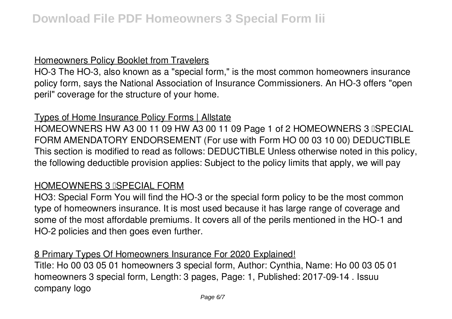#### Homeowners Policy Booklet from Travelers

HO-3 The HO-3, also known as a "special form," is the most common homeowners insurance policy form, says the National Association of Insurance Commissioners. An HO-3 offers "open peril" coverage for the structure of your home.

#### Types of Home Insurance Policy Forms | Allstate

HOMEOWNERS HW A3 00 11 09 HW A3 00 11 09 Page 1 of 2 HOMEOWNERS 3 ISPECIAL FORM AMENDATORY ENDORSEMENT (For use with Form HO 00 03 10 00) DEDUCTIBLE This section is modified to read as follows: DEDUCTIBLE Unless otherwise noted in this policy, the following deductible provision applies: Subject to the policy limits that apply, we will pay

## **HOMEOWNERS 3 ISPECIAL FORM**

HO3: Special Form You will find the HO-3 or the special form policy to be the most common type of homeowners insurance. It is most used because it has large range of coverage and some of the most affordable premiums. It covers all of the perils mentioned in the HO-1 and HO-2 policies and then goes even further.

## 8 Primary Types Of Homeowners Insurance For 2020 Explained!

Title: Ho 00 03 05 01 homeowners 3 special form, Author: Cynthia, Name: Ho 00 03 05 01 homeowners 3 special form, Length: 3 pages, Page: 1, Published: 2017-09-14 . Issuu company logo